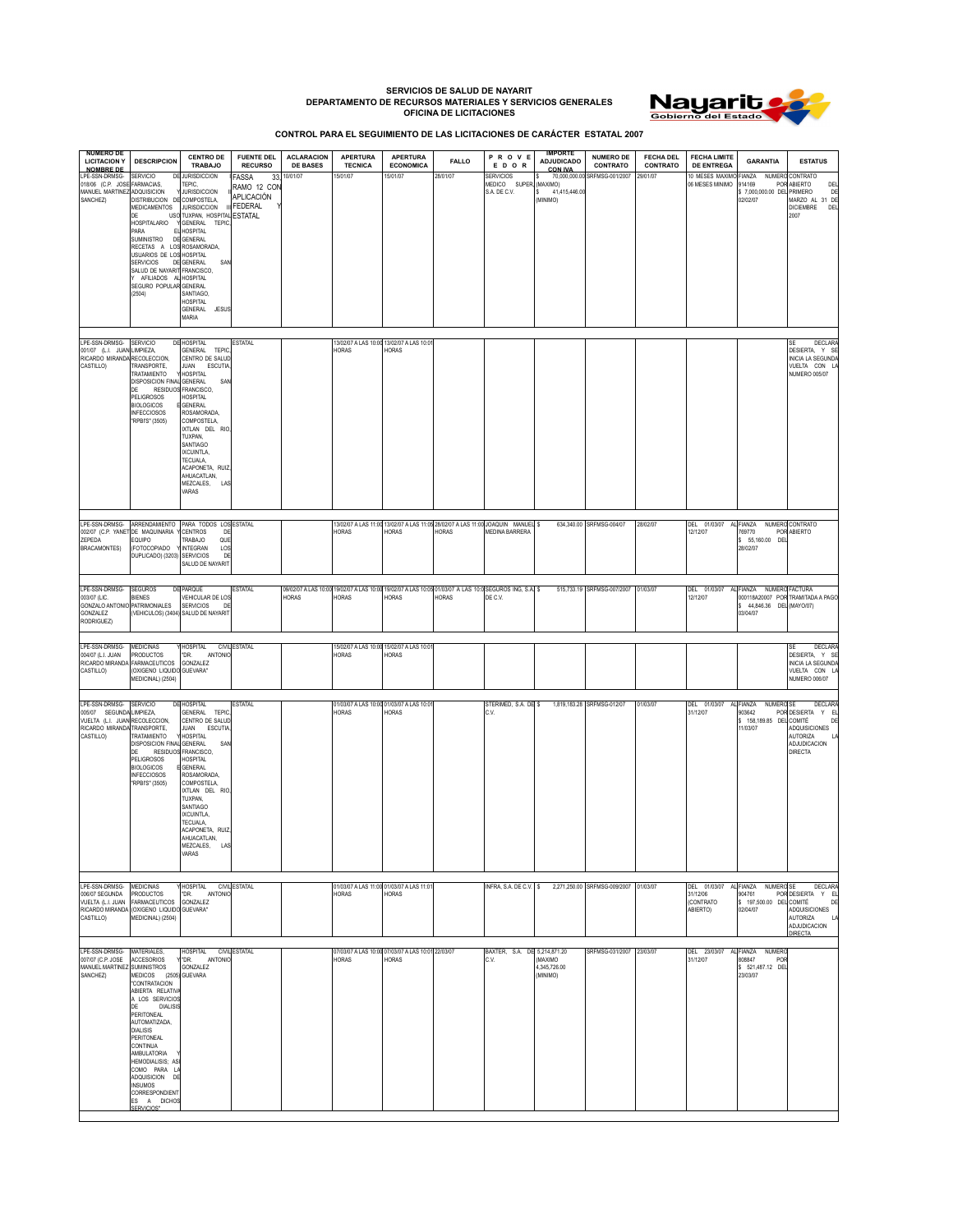## **SERVICIOS DE SALUD DE NAYARIT DEPARTAMENTO DE RECURSOS MATERIALES Y SERVICIOS GENERALES OFICINA DE LICITACIONES**



**CONTROL PARA EL SEGUIMIENTO DE LAS LICITACIONES DE CARÁCTER ESTATAL 2007**

| <b>NUMERO DE</b><br><b>LICITACION Y</b><br><b>NOMBRE DE</b>                                        | <b>DESCRIPCION</b>                                                                                                                                                                                                                                                                                                                                            | <b>CENTRO DE</b><br>TRABAJO                                                                                                                                                                                                                                                                                                                 | <b>FUENTE DEL</b><br><b>RECURSO</b>                            | <b>ACLARACION</b><br><b>DE BASES</b> | <b>APERTURA</b><br><b>TECNICA</b>                 | <b>APERTURA</b><br><b>ECONOMICA</b>                         | <b>FALLO</b> | PROVE<br>EDOR                                                                                                      | <b>IMPORTE</b><br><b>ADJUDICADO</b><br><b>CON IVA</b> | <b>NUMERO DE</b><br>CONTRATO  | <b>FECHA DEL</b><br>CONTRATO | <b>FECHA LIMITE</b><br><b>DE ENTREGA</b>          | <b>GARANTIA</b>                                                             | <b>ESTATUS</b>                                                                                            |
|----------------------------------------------------------------------------------------------------|---------------------------------------------------------------------------------------------------------------------------------------------------------------------------------------------------------------------------------------------------------------------------------------------------------------------------------------------------------------|---------------------------------------------------------------------------------------------------------------------------------------------------------------------------------------------------------------------------------------------------------------------------------------------------------------------------------------------|----------------------------------------------------------------|--------------------------------------|---------------------------------------------------|-------------------------------------------------------------|--------------|--------------------------------------------------------------------------------------------------------------------|-------------------------------------------------------|-------------------------------|------------------------------|---------------------------------------------------|-----------------------------------------------------------------------------|-----------------------------------------------------------------------------------------------------------|
| LPE-SSN-DRMSG-<br>018/06 (C.P. JOSE FARMACIAS,<br>MANUEL MARTINEZ ADQUISICION<br>SANCHEZ)          | SERVICIO<br>D<br>DISTRIBUCION DE COMPOSTELA.<br>MEDICAMENTOS<br>DE<br><b>HOSPITALARIO</b><br>PARA<br>Е<br>SUMINISTRO<br>RECETAS A LOS ROSAMORADA,<br>USUARIOS DE LOS HOSPITAL<br><b>SERVICIOS</b><br>SALUD DE NAYARIT FRANCISCO,<br>Y AFILIADOS AL<br>SEGURO POPULAR GENERAL<br>(2504)                                                                        | <b>IURISDICCION</b><br>TEPIC.<br><b>JURISDICCION</b><br><b>JURISDICCION</b><br>USO TUXPAN, HOSPITAL ESTATAL<br>GENERAL TEPIC<br><b>HOSPITAL</b><br>DE GENERAL<br>DE GENERAL<br>SAN<br>HOSPITAL<br>SANTIAGO.<br><b>IOSPITAL</b><br>GENERAL<br>JESUS<br>MARIA                                                                                 | FASSA<br>33<br>RAMO 12 COM<br>APLICACIÓN<br><b>III FEDERAL</b> | 10/01/07                             | 15/01/07                                          | 15/01/07                                                    | 28/01/07     | <b>SERVICIOS</b><br>MEDICO SUPER, (MAXIMO)<br>S.A. DE C.V.                                                         | 41,415,446.00<br>(MINIMO)                             | 70,000,000.00 SRFMSG-001/2007 | 29/01/07                     | 10 MESES MAXIMO<br>06 MESES MINIMO                | FIANZA<br>NUMERO<br>914169<br>\$7,000,000.00 DEL PRIMERO<br>02/02/07        | CONTRATO<br>POR ABIERTO<br>DEI<br>DE<br>MARZO AL 31 DE<br><b>DICIEMBRE</b><br>DEL<br>2007                 |
| LPE-SSN-DRMSG- SERVICIO<br>001/07 (L.I. JUAN LIMPIEZA,<br>RICARDO MIRANDA<br>CASTILLO)             | RECOLECCION,<br>TRANSPORTE,<br>TRATAMIENTO<br><b>DISPOSICION FINAL</b><br>DE<br><b>PELIGROSOS</b><br><b>BIOLOGICOS</b><br><b>INFECCIOSOS</b><br>"RPBI'S" (3505)                                                                                                                                                                                               | <b>DE HOSPITAL</b><br>GENERAL TEPIO<br>CENTRO DE SALUI<br>JUAN ESCUTIA<br>HOSPITAL<br>GENERAL<br>SA<br>RESIDUOS FRANCISCO,<br><b>HOSPITAL</b><br><b>GENERAL</b><br><b>ROSAMORADA</b><br>COMPOSTELA,<br>XTLAN DEL RIO<br>TUXPAN,<br>SANTIAGO<br><b>XCUINTLA,</b><br>TECUALA,<br>ACAPONETA, RUIZ,<br>AHUACATLAN,<br>MEZCALES,<br>LAS<br>VARAS | <b>ESTATAL</b>                                                 |                                      | HORAS                                             | 13/02/07 A LAS 10:00 13/02/07 A LAS 10:01<br>HORAS          |              |                                                                                                                    |                                                       |                               |                              |                                                   |                                                                             | <b>DECLARA</b><br>SF<br>DESIERTA Y SE<br><b>INICIA LA SEGUNDA</b><br>VUELTA CON L<br><b>NUMERO 005/07</b> |
| LPE-SSN-DRMSG-<br>002/07 (C.P. YANET DE MAQUINARIA<br>ZEPEDA<br><b>BRACAMONTES)</b>                | ARRENDAMIENTO<br>EQUIPO<br>(FOTOCOPIADO<br>DUPLICADO) (3203)                                                                                                                                                                                                                                                                                                  | PARA TODOS LOS ESTATAL<br>CENTROS<br>D<br>TRABAJO<br>QUE<br><b>INTEGRAN</b><br>LOS<br>SERVICIOS<br>DE<br>SALUD DE NAYARIT                                                                                                                                                                                                                   |                                                                |                                      | HORAS                                             | HORAS                                                       | HORAS        | 13/02/07 A LAS 11:00 13/02/07 A LAS 11:05 28/02/07 A LAS 11:00 JOAQUIN MANUEL \$<br><b>MEDINA BARRERA</b>          |                                                       | 634,340.00 SRFMSG-004/07      | 28/02/07                     | DEL 01/03/07<br>12/12/07                          | FIANZA<br>769770<br>\$ 55,160.00 DEI<br>28/02/07                            | NUMERO CONTRATO<br>POR ABIERTO                                                                            |
| LPE-SSN-DRMSG-<br>003/07 (LIC.<br><b>GONZALO ANTONI</b><br><b>GONZALEZ</b><br>RODRIGUEZ)           | <b>SEGUROS</b><br><b>BIENES</b><br>PATRIMONIALES                                                                                                                                                                                                                                                                                                              | <b>DE PARQUE</b><br>VEHICULAR DE LOS<br>SERVICIOS<br>D<br>(VEHICULOS) (3404) SALUD DE NAYARIT                                                                                                                                                                                                                                               | <b>ESTATAL</b>                                                 | HORAS                                | HORAS                                             | HORAS                                                       | HORAS        | 09/02/07 A LAS 10:00 19/02/07 A LAS 10:00 19/02/07 A LAS 10:05 01/03/07 A LAS 10:0 SEGUROS ING. S.A. \$<br>DE C.V. |                                                       | 515.733.19 SRFMSG-007/2007    | 01/03/07                     | DEL 01/03/07<br>12/12/07                          | FIANZA NUMERO FACTURA<br>\$44,846.36 DEL (MAYO/07)<br>03/04/07              | 000118A20007 POR TRAMITADA A PAGO                                                                         |
| LPE-SSN-DRMSG-<br>004/07 (L.I. JUAN<br>RICARDO MIRANDA<br>CASTILLO)                                | <b>MEDICINAS</b><br><b>PRODUCTOS</b><br>FARMACEUTICOS<br>(OXIGENO LIQUIDO GUEVARA"<br>MEDICINAL) (2504)                                                                                                                                                                                                                                                       | HOSPITAL<br><b>ANTONIC</b><br>"DR.<br>GONZALEZ                                                                                                                                                                                                                                                                                              | <b>CIVIL ESTATAL</b>                                           |                                      | HORAS                                             | 15/02/07 A LAS 10:00 15/02/07 A LAS 10:0<br><b>HORAS</b>    |              |                                                                                                                    |                                                       |                               |                              |                                                   |                                                                             | <b>DECLARA</b><br>DESIERTA, Y SE<br>INICIA LA SEGUNDA<br>VUELTA CON L<br><b>NUMERO 006/07</b>             |
| LPE-SSN-DRMSG-<br>005/07 SEGUNDA<br>VUELTA (L.I. JUAN RECOLECCION,<br>RICARDO MIRANDA<br>CASTILLO) | <b>SERVICIO</b><br>LIMPIEZA,<br>TRANSPORTE,<br><b><i>FRATAMIENTO</i></b><br>DISPOSICION FINAL GENERAL<br>DE<br>PELIGROSOS<br><b>BIOLOGICOS</b><br><b>INFECCIOSOS</b><br>"RPBI'S" (3505)                                                                                                                                                                       | <b>DE HOSPITAL</b><br>GENERAL<br><b>TEPIO</b><br>CENTRO DE SALUD<br>JUAN ESCUTIA<br>HOSPITAL<br>SA<br>RESIDUOS FRANCISCO,<br>HOSPITAL<br><b>GENERAL</b><br>ROSAMORADA,<br>COMPOSTELA.<br>IXTLAN DEL RIO<br>TUXPAN,<br>SANTIAGO<br>IXCUINTLA.<br>TECUALA,<br>ACAPONETA, RUIZ,<br>AHUACATLAN,<br>MEZCALES,<br>LAS<br>VARAS                    | <b>ESTATAL</b>                                                 |                                      | 01/03/07 A LAS 10:00 01/03/07 A LAS 10:0<br>HORAS | HORAS                                                       |              | STERIMED, S.A. DE \$<br>C.V.                                                                                       |                                                       | 1,819,183.28 SRFMSG-012/07    | 01/03/07                     | DEL 01/03/07 AL FIANZA<br>31/12/07                | NUMERO SE<br>903642<br>\$ 158,189.85 DEL COMITÉ<br>11/03/07                 | <b>DECLAR</b><br>POR DESIERTA Y EL<br>DE<br>ADQUISICIONES<br>AUTORIZA<br>ADJUDICACION<br><b>DIRECTA</b>   |
| LPE-SSN-DRMSG-<br>006/07 SEGUNDA<br>VUELTA (L.I. JUAN<br>CASTILLO)                                 | <b>MEDICINAS</b><br><b>PRODUCTOS</b><br><b>FARMACEUTICOS</b><br>RICARDO MIRANDA (OXIGENO LIQUIDO GUEVARA"<br>MEDICINAL) (2504)                                                                                                                                                                                                                                | HOSPITAL<br>"DR.<br><b>ANTONI</b><br>GONZALEZ                                                                                                                                                                                                                                                                                               | CIVIL ESTATAL                                                  |                                      | <b>HORAS</b>                                      | 01/03/07 A LAS 11:00 01/03/07 A LAS 11:01<br><b>HORAS</b>   |              | INFRA, S.A. DE C.V. \$                                                                                             |                                                       | 2,271,250.00 SRFMSG-009/2007  | 01/03/07                     | DEL 01/03/07<br>31/12/06<br>(CONTRATO<br>ABIERTO) | AL FIANZA NUMERO SE<br>904761<br>\$ 197,500.00 DEL COMITÉ<br>02/04/07       | <b>DECLAR</b><br>POR DESIERTA Y EL<br>DE<br>ADQUISICIONES<br>AUTORIZA<br>ADJUDICACION<br>DIRECTA          |
| LPE-SSN-DRMSG-<br>007/07 (C.P. JOSE<br>MANUEL MARTINEZ SUMINISTROS<br>SANCHEZ)                     | MATERIALES,<br>ACCESORIOS<br>MEDICOS (2505) GUEVARA<br>"CONTRATACION<br>ABIERTA RELATIVA<br>A LOS SERVICIOS<br><b>DIALISI</b><br>DE<br>PERITONEAL<br>AUTOMATIZADA,<br>DIALISIS<br><b>PERITONEAL</b><br>CONTINUA<br>AMBULATORIA<br><b>HEMODIALISIS; AS</b><br>COMO PARA L<br>ADQUISICION<br>DE<br><b>INSUMOS</b><br>CORRESPONDIENT<br>ES A DICHOS<br>CEDVICIOS | HOSPITAL<br>"DR.<br>ANTONIC<br>GONZALEZ                                                                                                                                                                                                                                                                                                     | CIVIL ESTATAL                                                  |                                      | <b>HORAS</b>                                      | 07/03/07 A LAS 10:00 07/03/07 A LAS 10:01 22/03/07<br>HORAS |              | BAXTER, S.A. DE 5,214,871.20<br>C.V.                                                                               | <b>OMIXAM</b><br>4,345,726.00<br>(MINIMO)             | SRFMSG-031/2007               | 23/03/07                     | DEL 23/03/07<br>31/12/07                          | AL FIANZA<br><b>NUMERO</b><br>808847<br>PO<br>\$ 521,487.12 DEL<br>23/03/07 |                                                                                                           |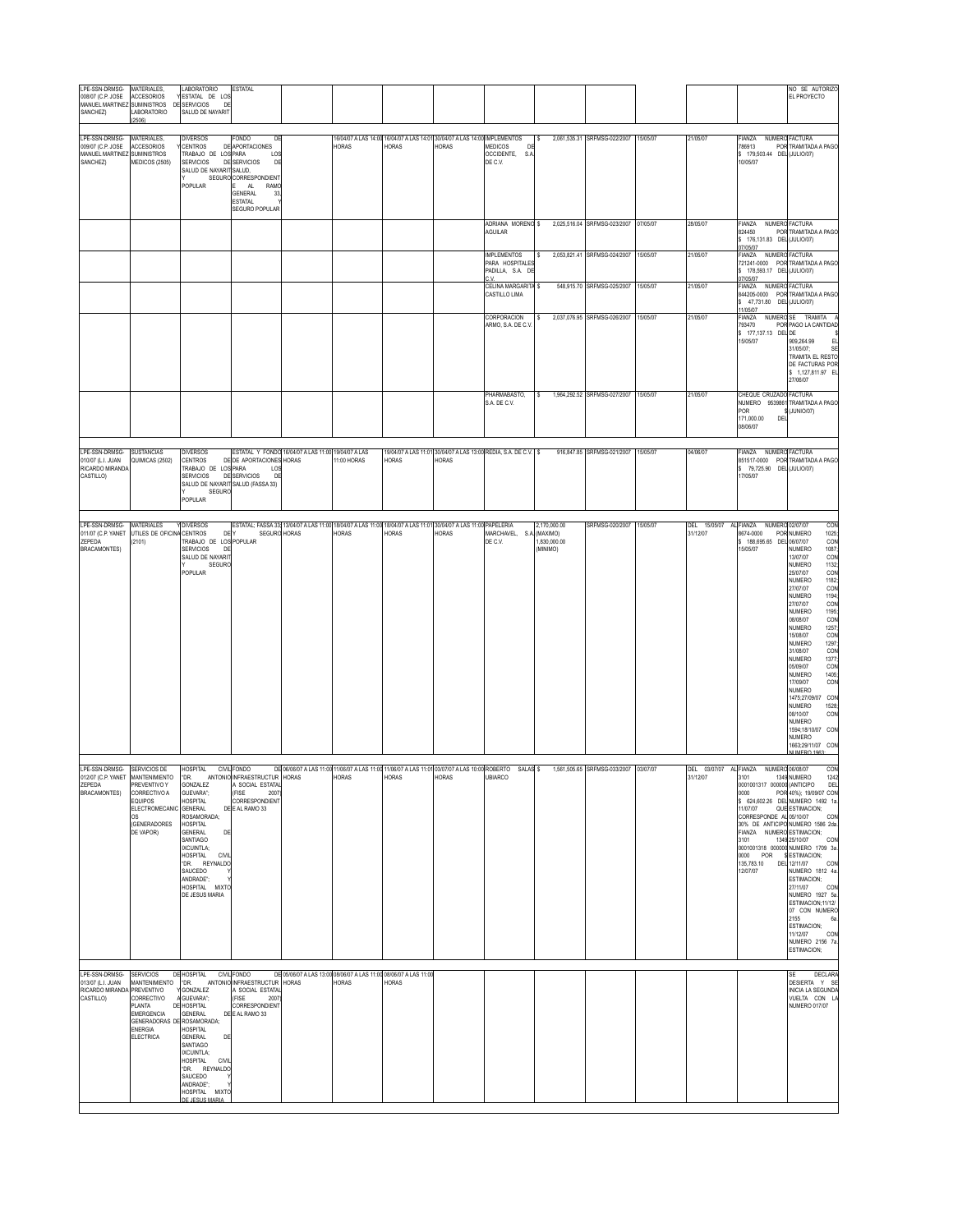| LPE-SSN-DRMSG-<br>008/07 (C.P. JOSE<br>MANUEL MARTINEZ SUMINISTROS<br>SANCHEZ)           | MATERIALES,<br><b>ACCESORIOS</b><br>LABORATORIO<br>2506)                                                                  | LABORATORIO<br>ESTATAL DE LOS<br>DE SERVICIOS<br>DE<br>SALUD DE NAYARIT                                                                                                                                                                                                                                                          | <b>ESTATAL</b>                                                                                                                                                          |                                                     |                                                                                                                                 |                                                                                     |              |                                                                                     |                                                                                                                                              |                                                            |                      |                          |                                                                                                                                                                                       | NO SE AUTORIZO<br>EL PROYECTO                                                                                                                                                                                                                                                                                                                                                                                                                                                                                                                                         |
|------------------------------------------------------------------------------------------|---------------------------------------------------------------------------------------------------------------------------|----------------------------------------------------------------------------------------------------------------------------------------------------------------------------------------------------------------------------------------------------------------------------------------------------------------------------------|-------------------------------------------------------------------------------------------------------------------------------------------------------------------------|-----------------------------------------------------|---------------------------------------------------------------------------------------------------------------------------------|-------------------------------------------------------------------------------------|--------------|-------------------------------------------------------------------------------------|----------------------------------------------------------------------------------------------------------------------------------------------|------------------------------------------------------------|----------------------|--------------------------|---------------------------------------------------------------------------------------------------------------------------------------------------------------------------------------|-----------------------------------------------------------------------------------------------------------------------------------------------------------------------------------------------------------------------------------------------------------------------------------------------------------------------------------------------------------------------------------------------------------------------------------------------------------------------------------------------------------------------------------------------------------------------|
| LPE-SSN-DRMSG-<br>009/07 (C.P. JOSE<br>MANUEL MARTINEZ SUMINISTROS<br>SANCHEZ)           | MATERIALES,<br><b>ACCESORIOS</b><br>MEDICOS (2505)                                                                        | <b>DIVERSOS</b><br>CENTROS<br>DE<br>TRABAJO DE LOS PARA<br><b>SERVICIOS</b><br>SALUD DE NAYARIT SALUD,<br>POPULAR                                                                                                                                                                                                                | FONDO<br>DE<br>APORTACIONES<br>LO <sub>S</sub><br><b>DE SERVICIOS</b><br>DE<br>SEGURO CORRESPONDIENT<br>AL<br>RAMO<br>GENERAL<br>33<br><b>FSTATAL</b><br>SEGURO POPULAR |                                                     | <b>HORAS</b>                                                                                                                    | 16/04/07 A LAS 14:00 16/04/07 A LAS 14:01 30/04/07 A LAS 14:00 IMPLEMENTOS<br>HORAS | HORAS        | MEDICOS<br>OCCIDENTE, S.A<br>DE C.V.                                                | l S                                                                                                                                          | 2,061,535.31 SRFMSG-022/2007                               | 15/05/07             | 21/05/07                 | FIANZA<br>786913<br>\$179,503.44 DEL (JULIO/07)<br>10/05/07                                                                                                                           | NUMERO FACTURA<br>POR TRAMITADA A PAGO                                                                                                                                                                                                                                                                                                                                                                                                                                                                                                                                |
|                                                                                          |                                                                                                                           |                                                                                                                                                                                                                                                                                                                                  |                                                                                                                                                                         |                                                     |                                                                                                                                 |                                                                                     |              | ADRIANA MORENO \$<br>AGUILAR                                                        |                                                                                                                                              | 2,025,516.04 SRFMSG-023/2007                               | 07/05/07             | 28/05/07                 | FIANZA<br>824450<br>\$ 176,131.83 DEL (JULIO/07)<br>07/05/07                                                                                                                          | NUMERO FACTURA<br>POR TRAMITADA A PAGO                                                                                                                                                                                                                                                                                                                                                                                                                                                                                                                                |
|                                                                                          |                                                                                                                           |                                                                                                                                                                                                                                                                                                                                  |                                                                                                                                                                         |                                                     |                                                                                                                                 |                                                                                     |              | <b>IMPLEMENTOS</b><br>PARA HOSPITALES<br>PADILLA, S.A. DI<br>٠v<br>CELINA MARGARITA | <b>S</b>                                                                                                                                     | 2,053,821.41 SRFMSG-024/2007                               | 15/05/07             | 21/05/07                 | FIANZA NUMERO FACTURA<br>\$178.593.17 DEL (JULIO/07)<br>07/05/07<br>FIANZA NUMERO FACTURA                                                                                             | 721241-0000 POR TRAMITADA A PAGO                                                                                                                                                                                                                                                                                                                                                                                                                                                                                                                                      |
|                                                                                          |                                                                                                                           |                                                                                                                                                                                                                                                                                                                                  |                                                                                                                                                                         |                                                     |                                                                                                                                 |                                                                                     |              | CASTILLO LIMA<br>CORPORACION                                                        | ١s<br>s                                                                                                                                      | 548,915.70 SRFMSG-025/2007<br>2,037,076.95 SRFMSG-026/2007 | 15/05/07<br>15/05/07 | 21/05/07<br>21/05/07     | 844205-0000 POR<br>\$47,731.80 DEL (JULIO/07)<br>11/05/07<br>NUMERO SE<br>FIANZA                                                                                                      | TRAMITADA A PAGO<br>TRAMITA                                                                                                                                                                                                                                                                                                                                                                                                                                                                                                                                           |
|                                                                                          |                                                                                                                           |                                                                                                                                                                                                                                                                                                                                  |                                                                                                                                                                         |                                                     |                                                                                                                                 |                                                                                     |              | ARMO, S.A. DE C.V                                                                   |                                                                                                                                              |                                                            |                      |                          | 793470<br>\$ 177,137.13 DEL DE<br>15/05/07                                                                                                                                            | POR PAGO LA CANTIDAD<br>909,264.99<br>E<br>31/05/07:<br>S<br>TRAMITA EL RESTO<br>DE FACTURAS POR<br>\$ 1,127,811.97 E<br>27/06/07                                                                                                                                                                                                                                                                                                                                                                                                                                     |
|                                                                                          |                                                                                                                           |                                                                                                                                                                                                                                                                                                                                  |                                                                                                                                                                         |                                                     |                                                                                                                                 |                                                                                     |              | PHARMABASTO.<br>S.A. DE C.V.                                                        | $\mathbf{s}$                                                                                                                                 | 1.964.292.52 SRFMSG-027/2007                               | 15/05/07             | 21/05/07                 | CHEQUE CRUZADO FACTURA<br>NUMERO 9539861<br>POR<br>171,000.00<br>DEI<br>08/06/07                                                                                                      | TRAMITADA A PAGO<br>(JUNIO/07)                                                                                                                                                                                                                                                                                                                                                                                                                                                                                                                                        |
| LPE-SSN-DRMSG-<br>010/07 (L.I. JUAN<br>RICARDO MIRANDA<br>CASTILLO)                      | <b>SUSTANCIAS</b><br>QUIMICAS (2502)                                                                                      | <b>DIVERSOS</b><br>CENTROS<br>TRABAJO DE LOS PARA<br>SERVICIOS<br>SALUD DE NAYARIT SALUD (FASSA 33)<br>SEGURC<br>POPULAR                                                                                                                                                                                                         | DE DE APORTACIONES HORAS<br>LOS<br>DE SERVICIOS<br>DE                                                                                                                   | ESTATAL Y FONDO 16/04/07 A LAS 11:00 19/04/07 A LAS | 11:00 HORAS                                                                                                                     | HORAS                                                                               | HORAS        | 19/04/07 A LAS 11:01 30/04/07 A LAS 13:00 REDIA, S.A. DE C.V. \$                    |                                                                                                                                              | 916,847.85 SRFMSG-021/2007                                 | 15/05/07             | 04/06/07                 | FIANZA NUMERO FACTURA<br>\$79,725.90 DEL (JULIO/07)<br>17/05/07                                                                                                                       | 851517-0000 POR TRAMITADA A PAGO                                                                                                                                                                                                                                                                                                                                                                                                                                                                                                                                      |
| LPE-SSN-DRMSG-<br>ZEPEDA<br><b>BRACAMONTES)</b>                                          | MATERIALES<br>011/07 (C.P. YANET UTILES DE OFICINA<br>(2101)                                                              | <b>DIVERSOS</b><br>CENTROS<br>DE<br>TRABAJO DE LOS POPULAR<br><b>SERVICIOS</b><br>DE<br>SALUD DE NAYARIT<br><b>SEGURO</b><br>POPULAR                                                                                                                                                                                             | SEGURO HORAS                                                                                                                                                            |                                                     | ESTATAL: FASSA 33:13/04/07 A LAS 11:00 18/04/07 A LAS 11:00 18/04/07 A LAS 11:01 30/04/07 A LAS 11:00 PAPELERIA<br><b>HORAS</b> | HORAS                                                                               | <b>HORAS</b> | MARCHAVEL, S.<br>DE C.V.                                                            | 2.170.000.00<br>(MAXIMO)<br>1,830,000.00<br>(MINIMO)                                                                                         | SRFMSG-020/2007                                            | 15/05/07             | DEL 15/05/07<br>31/12/07 | FIANZA NUMERO 02/07/07<br>8674-0000<br>\$ 188,695.65 DEL<br>15/05/07                                                                                                                  | COM<br>POR NUMERO<br>1025<br>06/07/07<br>CON<br>1087<br>COM<br>NUMERO<br>13/07/07<br>NUMERO<br>1132<br>COM<br>1182<br>25/07/07<br>NUMERO<br>COM<br>27/07/07<br>1194<br><b>NUMERO</b><br>27/07/07<br>CON<br>1195<br>COM<br>1257<br>COM<br>NUMERO<br>08/08/07<br>NUMERO<br>15/08/07<br>1297<br>NUMERO<br>31/08/07<br>COM<br><b>NUMERO</b><br>1377<br>COM<br>05/09/07<br>1405<br>COM<br>NUMERO<br>17/09/07<br>NUMERO<br>1475;27/09/07 COM<br>1528<br><b>NUMERO</b><br>08/10/07<br>COM<br>NUMERO<br>1594;18/10/07 CON<br>NUMERO<br>1663;29/11/07 COM<br><b>JUMEDO 106</b> |
| LPE-SSN-DRMSG- SERVICIOS DE<br>ZEPEDA<br><b>BRACAMONTES)</b>                             | PREVENTIVO Y<br>CORRECTIVO A<br>EQUIPOS<br>ELECTROMECANIC<br>0S<br><b>(GENERADORES)</b><br>DE VAPOR)                      | HOSPITAL CIVIL FONDO<br>012/07 (C.P. YANET MANTENIMIENTO CDR. ANTONIO INFRAESTRUCTUR HORAS<br>GONZALEZ<br>GUEVARA";<br>HOSPITAL<br>GENERAL<br>ROSAMORADA;<br><b>HOSPITAL</b><br><b>GENERAL</b><br>DE<br>SANTIAGO<br>IXCUINTLA;<br>HOSPITAL<br>CIVIL<br>*DR. REYNALDO<br>SAUCEDO<br>ANDRADE";<br>HOSPITAL MIXTC<br>DE JESUS MARIA | A SOCIAL ESTATAL<br>(FISE<br>2007<br>CORRESPONDIENT<br>DE E AL RAMO 33                                                                                                  |                                                     | HORAS                                                                                                                           | <b>HORAS</b>                                                                        | <b>HORAS</b> | <b>UBIARCO</b>                                                                      | DE 06/06/07 A LAS 11:00 11/06/07 A LAS 11:00 11/06/07 A LAS 11:01 03/07/07 A LAS 10:00 ROBERTO SALAS \$1,561,505.65 SRFMSG-033/2007 03/07/07 |                                                            |                      | 31/12/07                 | DEL 03/07/07 AL FIANZA NUMERO 06/08/07<br>3101<br>0000<br>11/07/07<br>CORRESPONDE AL 05/10/07<br>FIANZA NUMERO ESTIMACION;<br>3101<br>0000 POR<br>135,783.10 DEL 12/11/07<br>12/07/07 | CON<br>1349 NUMERO<br>1242<br>0001001317 000000 (ANTICIPO DEL<br>POR 40%); 19/09/07 COM<br>\$ 624,602.26 DEL NUMERO 1492 1a<br>QUE ESTIMACION;<br>COM<br>30% DE ANTICIPO NUMERO 1586 2da<br>1349 25/10/07<br>COM<br>0001001318 000000 NUMERO 1709 3a<br>\$ESTIMACION;<br>CON<br>NUMERO 1812 4a<br>ESTIMACION;<br>27/11/07<br>COM<br>NUMERO 1927 5a<br>ESTIMACION;11/12/<br>07 CON NUMERO<br>2155<br>6<br>ESTIMACION;<br>11/12/07<br><b>CON</b><br>NUMERO 2156 7a<br>ESTIMACION;                                                                                       |
| LPE-SSN-DRMSG- SERVICIOS<br>013/07 (L.I. JUAN<br>RICARDO MIRANDA PREVENTIVO<br>CASTILLO) | MANTENIMIENTO<br>CORRECTIVO<br>PLANTA<br><b>EMERGENCIA</b><br><b>GENERADORAS DE</b><br><b>ENERGIA</b><br><b>ELECTRICA</b> | DE HOSPITAL<br>"DR.<br>GONZALEZ<br>GUEVARA";<br>DE HOSPITAL<br>GENERAL<br>ROSAMORADA;<br>HOSPITAL<br><b>GENERAL</b><br>DE<br>SANTIAGO<br>IXCUINTLA:<br>HOSPITAL<br>CIVIL<br>DR. REYNALDO<br>SAUCEDO<br>ANDRADE";<br>HOSPITAL MIXTC<br>DE JESUS MARIA                                                                             | CIVIL FONDO<br>ANTONIO INFRAESTRUCTUR HORAS<br>A SOCIAL ESTATAL<br>(FISE<br>2007<br>CORRESPONDIENT<br>DE E AL RAMO 33                                                   |                                                     | DE 05/06/07 A LAS 13:00 08/06/07 A LAS 11:00 08/06/07 A LAS 11:00<br>HORAS                                                      | HORAS                                                                               |              |                                                                                     |                                                                                                                                              |                                                            |                      |                          |                                                                                                                                                                                       | SE<br><b>DECLARA</b><br>DESIERTA Y SE<br>INICIA LA SEGUNDA<br>VUELTA CON L<br><b>NUMERO 017/07</b>                                                                                                                                                                                                                                                                                                                                                                                                                                                                    |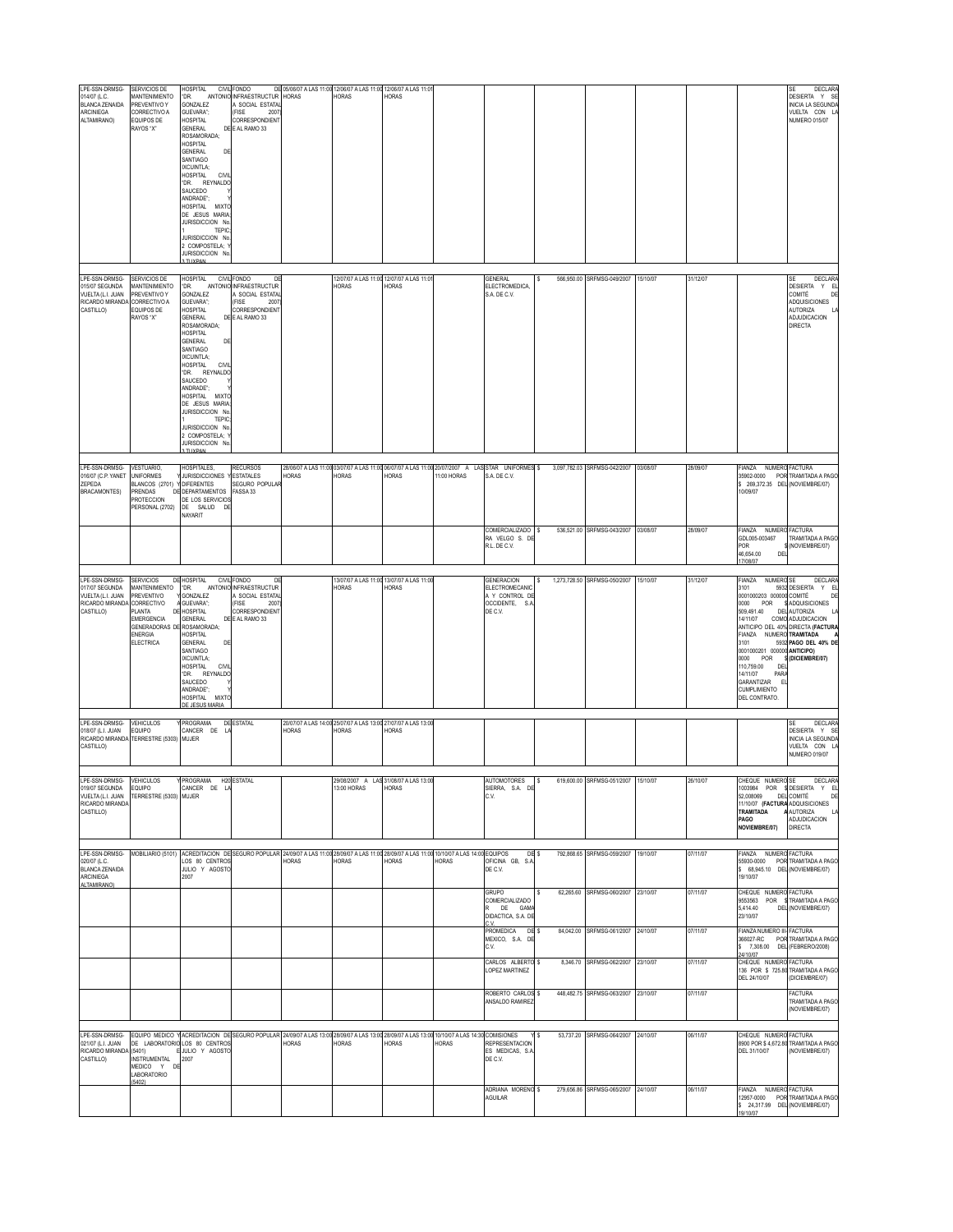| LPE-SSN-DRMSG-                                                                                                                                                                                                                          | SERVICIOS DE                                                                                                                                             | HOSPITAL                                                                                                                                                                                                                                                                                                                                                                          | CIVIL FONDO                                                                                                          | DE 05/06/07 A LAS 11:00 12/06/07 A LAS 11:00 12/06/07 A LAS 11:01 |                                                                         |                                                    |             |                                                                                                                   |                  |                                                       |                      |                      |                                                                                                                                                                                                                                                                                        | <b>DECLARA</b><br>SE                                                                                                                                                                           |
|-----------------------------------------------------------------------------------------------------------------------------------------------------------------------------------------------------------------------------------------|----------------------------------------------------------------------------------------------------------------------------------------------------------|-----------------------------------------------------------------------------------------------------------------------------------------------------------------------------------------------------------------------------------------------------------------------------------------------------------------------------------------------------------------------------------|----------------------------------------------------------------------------------------------------------------------|-------------------------------------------------------------------|-------------------------------------------------------------------------|----------------------------------------------------|-------------|-------------------------------------------------------------------------------------------------------------------|------------------|-------------------------------------------------------|----------------------|----------------------|----------------------------------------------------------------------------------------------------------------------------------------------------------------------------------------------------------------------------------------------------------------------------------------|------------------------------------------------------------------------------------------------------------------------------------------------------------------------------------------------|
| 014/07 (L.C.<br><b>BLANCA ZENAIDA</b><br>ARCINIEGA<br>ALTAMIRANO)                                                                                                                                                                       | MANTENIMIENTO<br>PREVENTIVO Y<br>CORRECTIVO A<br>EQUIPOS DE<br>RAYOS "X"                                                                                 | *DR.<br>GONZALEZ<br>GUEVARA";<br><b>HOSPITAL</b><br><b>GENERAL</b><br>ROSAMORADA;<br><b>HOSPITAL</b><br><b>GENERAL</b><br>DE<br>SANTIAGO<br>IXCUINTLA;<br>HOSPITAL<br><b>CIVI</b><br>*DR. REYNALDO<br>SAUCEDO<br>ANDRADE";<br><b>HOSPITAL</b><br><b>MIXTO</b><br>DE JESUS MARIA<br>JURISDICCION No<br>TEPIC<br>JURISDICCION No<br>2 COMPOSTELA; '<br>JURISDICCION No<br>ΤΗΧΡΔΝ    | ANTONIO INFRAESTRUCTUR<br>A SOCIAL ESTATAL<br>(FISE<br>2007<br>CORRESPONDIENT<br>DE E AL RAMO 33                     | <b>HORAS</b>                                                      | <b>HORAS</b>                                                            | HORAS                                              |             |                                                                                                                   |                  |                                                       |                      |                      |                                                                                                                                                                                                                                                                                        | DESIERTA Y SE<br><b>INICIA LA SEGUNDA</b><br>VUELTA CON L<br><b>NUMERO 015/07</b>                                                                                                              |
| LPE-SSN-DRMSG- SERVICIOS DE<br>015/07 SEGUNDA<br>VUELTA (L.I. JUAN<br>RICARDO MIRANDA<br>CASTILLO)                                                                                                                                      | <b>MANTENIMIENTO</b><br>PREVENTIVO Y<br>CORRECTIVO A<br>EQUIPOS DE<br>RAYOS "X"                                                                          | <b>HOSPITAL</b><br>"DR<br>GONZALEZ<br>GUEVARA";<br><b>HOSPITAL</b><br><b>GENERAL</b><br>ROSAMORADA;<br>HOSPITAL<br><b>GENERAL</b><br>DE<br><b>SANTIAGO</b><br>IXCUINTLA;<br>HOSPITAL<br><b>CIVII</b><br>"DR. REYNALDO<br>SAUCEDO<br>ANDRADE":<br>HOSPITAL MIXTO<br>DE JESUS MARIA<br>JURISDICCION No<br>TEPIC<br>JURISDICCION No<br>2 COMPOSTELA; Y<br>JURISDICCION No<br>TLIXPAN | CIVIL FONDO<br>D<br>ANTONIO INFRAESTRUCTUR<br>A SOCIAL ESTATA<br>(FISE<br>2007<br>CORRESPONDIENT<br>DE E AL RAMO 33  |                                                                   | <b>HORAS</b>                                                            | 12/07/07 A LAS 11:00 12/07/07 A LAS 11:01<br>HORAS |             | GENERAL<br>ELECTROMEDICA,<br>S.A. DE C.V.                                                                         |                  | 566.950.00 SRFMSG-049/2007                            | 15/10/07             | 31/12/07             |                                                                                                                                                                                                                                                                                        | <b>DECLARA</b><br>SF<br>DESIERTA Y EL<br>COMITÉ<br>DE<br><b>ADQUISICIONES</b><br><b>AUTORIZA</b><br>ADJUDICACION<br><b>DIRECTA</b>                                                             |
| LPE-SSN-DRMSG-<br>016/07 (C.P. YANET<br>ZEPEDA<br><b>BRACAMONTES)</b>                                                                                                                                                                   | VESTUARIO.<br><b>UNIFORMES</b><br>BLANCOS (2701)<br>PRENDAS<br><b>PROTECCION</b><br>PERSONAL (2702)                                                      | HOSPITALES,<br><b>JURISDICCIONES</b><br>Y DIFERENTES<br>DE DEPARTAMENTOS<br>DE LOS SERVICIOS<br>DE SALUD<br>DI<br>NAYARIT                                                                                                                                                                                                                                                         | <b>RECURSOS</b><br><b>ESTATALES</b><br>SEGURO POPULAR<br>FASSA 33                                                    | HORAS                                                             | HORAS                                                                   | HORAS                                              | 11:00 HORAS | 28/06/07 A LAS 11:00 03/07/07 A LAS 11:00 06/07/07 A LAS 11:00 20/07/2007 A LAS STAR UNIFORMES \$<br>S.A. DE C.V. |                  | 3,097,782.03 SRFMSG-042/2007                          | 03/08/07             | 28/09/07             | FIANZA NUMERO FACTURA<br>\$ 269,372.35 DEL (NOVIEMBRE/07)<br>10/09/07                                                                                                                                                                                                                  | 35902-0000 POR TRAMITADA A PAGO                                                                                                                                                                |
|                                                                                                                                                                                                                                         |                                                                                                                                                          |                                                                                                                                                                                                                                                                                                                                                                                   |                                                                                                                      |                                                                   |                                                                         |                                                    |             | COMERCIALIZADO<br>RA VELGO S. DE<br>R.L. DE C.V.                                                                  |                  | 536,521.00 SRFMSG-043/2007                            | 03/08/07             | 28/09/07             | FIANZA NUMERO FACTURA<br>GDL005-003467<br><b>POR</b><br>46,654.00<br>DE<br>17/08/07                                                                                                                                                                                                    | TRAMITADA A PAGO<br>(NOVIEMBRE/07)                                                                                                                                                             |
| I PF-SSN-DRMSG-<br>017/07 SEGUNDA<br>VUELTA (L.I. JUAN<br>RICARDO MIRANDA<br>CASTILLO)                                                                                                                                                  | <b>SERVICIOS</b><br>MANTENIMIENTO<br>PREVENTIVO<br>CORRECTIVO<br><b>LANTA</b><br>EMERGENCIA<br>GENERADORAS DE ROSAMORADA;<br>ENERGIA<br><b>ELECTRICA</b> | DE HOSPITAL<br>*DR.<br>ANTONIC<br>GONZALEZ<br>A GUEVARA":<br><b>DE HOSPITAL</b><br><b>GENERAL</b><br><b>HOSPITAL</b><br><b>GENERAL</b><br>DE<br><b>SANTIAGO</b><br>IXCUINTLA;<br>HOSPITAL<br>CIVIL<br>"DR. REYNALDO<br>SAUCEDO<br>ANDRADE":<br>HOSPITAL<br><b>MIXTO</b><br><b>DE JESUS MARIA</b>                                                                                  | CIVIL FONDO<br>DF<br><b>INFRAESTRUCTUR</b><br>A SOCIAL ESTATAL<br>(FISE<br>2007<br>CORRESPONDIENT<br>DE E AL RAMO 33 |                                                                   | HORAS                                                                   | 13/07/07 A LAS 11:00 13/07/07 A LAS 11:00<br>HORAS |             | <b>GENERACION</b><br>ELECTROMECANIC<br>A Y CONTROL DE<br>OCCIDENTE, S.A<br>DE C.V.                                |                  | 1,273,728.50 SRFMSG-050/2007                          | 15/10/07             | 31/12/07             | FIANZA<br>NUMERO SE<br>3101<br>0001000203 000000 COMITÉ<br>0000<br>POR<br>509,491.40<br>14/11/07<br>FIANZA NUMERO TRAMITADA<br>3101<br>0001000201 000000 ANTICIPO)<br>0000<br>POR<br>110,759.00<br>DE<br>14/11/07<br>PAR/<br>GARANTIZAR<br>- 6<br><b>CUMPLIMIENTO</b><br>DEL CONTRATO. | <b>DECLAR</b><br>5932 DESIERTA Y EL<br>DE<br><b>\$ADQUISICIONES</b><br><b>DEL AUTORIZA</b><br>COMO ADJUDICACION<br>ANTICIPO DEL 40% DIRECTA (FACTURA<br>5932 PAGO DEL 40% DE<br>(DICIEMBRE/07) |
| LPE-SSN-DRMSG-<br>018/07 (L.I. JUAN<br>RICARDO MIRANDA<br>CASTILLO)                                                                                                                                                                     | <b>VEHICULOS</b><br><b>EQUIPO</b><br>TERRESTRE (5303)                                                                                                    | PROGRAMA<br>CANCER DE<br><b>MUJER</b>                                                                                                                                                                                                                                                                                                                                             | DE ESTATAL                                                                                                           | HORAS                                                             | 20/07/07 A LAS 14:00 25/07/07 A LAS 13:00 27/07/07 A LAS 13:00<br>HORAS | <b>IORAS</b>                                       |             |                                                                                                                   |                  |                                                       |                      |                      |                                                                                                                                                                                                                                                                                        | <b>DECLARA</b><br>SF<br>DESIERTA Y SE<br><b>INICIA LA SEGUNDA</b><br>VUELTA CON LA<br><b>NUMERO 019/07</b>                                                                                     |
| LPE-SSN-DRMSG-<br>019/07 SEGUNDA EQUIPO<br>VUELTA (L.I. JUAN TERRESTRE (5303) MUJER<br>RICARDO MIRANDA<br>CASTILLO)                                                                                                                     | <b>VEHICULOS</b>                                                                                                                                         | Y PROGRAMA H20 ESTATAL<br>CANCER DE LA                                                                                                                                                                                                                                                                                                                                            |                                                                                                                      |                                                                   | 13:00 HORAS                                                             | 29/08/2007 A LAS 31/08/07 A LAS 13:00<br>HORAS     |             | AUTOMOTORES<br>SIERRA, S.A. DE<br>C.V.                                                                            | s                | 619,600.00 SRFMSG-051/2007                            | 15/10/07             | 26/10/07             | CHEQUE NUMERO SE<br>11/10/07 (FACTURA ADQUISICIONES<br>TRAMITADA<br>PAGO<br>NOVIEMBRE/07)                                                                                                                                                                                              | <b>DECLARA</b><br>1003984 POR SIDESIERTA Y EL<br><b>A AUTORIZA</b><br>ADJUDICACION<br><b>DIRECTA</b>                                                                                           |
| LPE-SSN-DRMSG- MOBILIARIO (5101) ACREDITACION DE SEGURO POPULAR 24/09/07 A LAS 11:00 28/09/07 A LAS 11:00 28/09/07 A LAS 11:00 10/10/07 A LAS 14:00 EQUIPOS<br>020/07 (L.C.<br><b>BLANCA ZENAIDA</b><br><b>ARCINIEGA</b><br>ALTAMIRANO) |                                                                                                                                                          | LOS 80 CENTROS<br>JULIO Y AGOSTO<br>2007                                                                                                                                                                                                                                                                                                                                          |                                                                                                                      | HORAS                                                             | <b>HORAS</b>                                                            | HORAS                                              | HORAS       | OFICINA GB, S.A<br>DE C.V.                                                                                        | DE <sub>\$</sub> | 792,868.65 SRFMSG-059/2007 19/10/07                   |                      | 07/11/07             | FIANZA NUMERO FACTURA<br>\$ 68,945.10 DEL (NOVIEMBRE/07)<br>19/10/07                                                                                                                                                                                                                   | 55930-0000 POR TRAMITADA A PAGO                                                                                                                                                                |
|                                                                                                                                                                                                                                         |                                                                                                                                                          |                                                                                                                                                                                                                                                                                                                                                                                   |                                                                                                                      |                                                                   |                                                                         |                                                    |             | <b>GRUPO</b><br>COMERCIALIZADO<br>R DE GAM/<br>DIDACTICA, S.A. DE<br>C V                                          |                  | 62.265.60 SRFMSG-060/2007                             | 23/10/07             | 07/11/07             | CHEQUE NUMERO FACTURA<br>5,414.40<br>23/10/07                                                                                                                                                                                                                                          | 9553563 POR STRAMITADA A PAGO<br>DEL (NOVIEMBRE/07)                                                                                                                                            |
|                                                                                                                                                                                                                                         |                                                                                                                                                          |                                                                                                                                                                                                                                                                                                                                                                                   |                                                                                                                      |                                                                   |                                                                         |                                                    |             | PROMEDICA<br>MEXICO, S.A. DE<br>C.V.<br>CARLOS ALBERTO                                                            | DE <sub>\$</sub> | 84,042.00 SRFMSG-061/2007<br>8.346.70 SRFMSG-062/2007 | 24/10/07<br>23/10/07 | 07/11/07<br>07/11/07 | FIANZA NUMERO III- FACTURA<br>\$ 7,308.00 DEL (FEBRERO/2008)<br>24/10/07<br>CHEQUE NUMERO FACTURA                                                                                                                                                                                      | 366027-RC POR TRAMITADA A PAGO                                                                                                                                                                 |
|                                                                                                                                                                                                                                         |                                                                                                                                                          |                                                                                                                                                                                                                                                                                                                                                                                   |                                                                                                                      |                                                                   |                                                                         |                                                    |             | <b>LOPEZ MARTINEZ</b><br>ROBERTO CARLOS \$<br>ANSALDO RAMIREZ                                                     |                  | 448,482.75 SRFMSG-063/2007 23/10/07                   |                      | 07/11/07             | DEL 24/10/07                                                                                                                                                                                                                                                                           | 136 POR \$ 725.80 TRAMITADA A PAGO<br>(DICIEMBRE/07)<br><b>FACTURA</b><br>TRAMITADA A PAGO<br>(NOVIEMBRE/07)                                                                                   |
| LPE-SSN-DRMSG- EQUIPO MEDICO Y ACREDITACION DE SEGURO POPULAR 24/09/07 A LAS 13:00 28/09/07 A LAS 13:00 28/09/07 A LAS 13:00 10/10/07 A LAS 14:30 COMISIONES<br>021/07 (L.I. JUAN<br>RICARDO MIRANDA (5401)<br>CASTILLO)                | <b>INSTRUMENTAL</b><br>MEDICO Y DE<br>LABORATORIO                                                                                                        | DE LABORATORIO LOS 80 CENTROS<br>EJULIO Y AGOSTO                                                                                                                                                                                                                                                                                                                                  |                                                                                                                      | HORAS                                                             | <b>HORAS</b>                                                            | HORAS                                              | HORAS       | <b>REPRESENTACION</b><br>ES MEDICAS, S.A<br>DE C.V.                                                               |                  | 53,737.20 SRFMSG-064/2007 24/10/07                    |                      | 06/11/07             | CHEQUE NUMERO FACTURA<br>DEL 31/10/07                                                                                                                                                                                                                                                  | 8900 POR \$4,672.80 TRAMITADA A PAGO<br>(NOVIEMBRE/07)                                                                                                                                         |
|                                                                                                                                                                                                                                         | (5402)                                                                                                                                                   |                                                                                                                                                                                                                                                                                                                                                                                   |                                                                                                                      |                                                                   |                                                                         |                                                    |             | ADRIANA MORENO \$<br>AGUILAR                                                                                      |                  | 279,656.86 SRFMSG-065/2007 24/10/07                   |                      | 06/11/07             | FIANZA NUMERO FACTURA<br>\$ 24,317.99 DEL (NOVIEMBRE/07)<br>19/10/07                                                                                                                                                                                                                   | 12957-0000 POR TRAMITADA A PAGO                                                                                                                                                                |